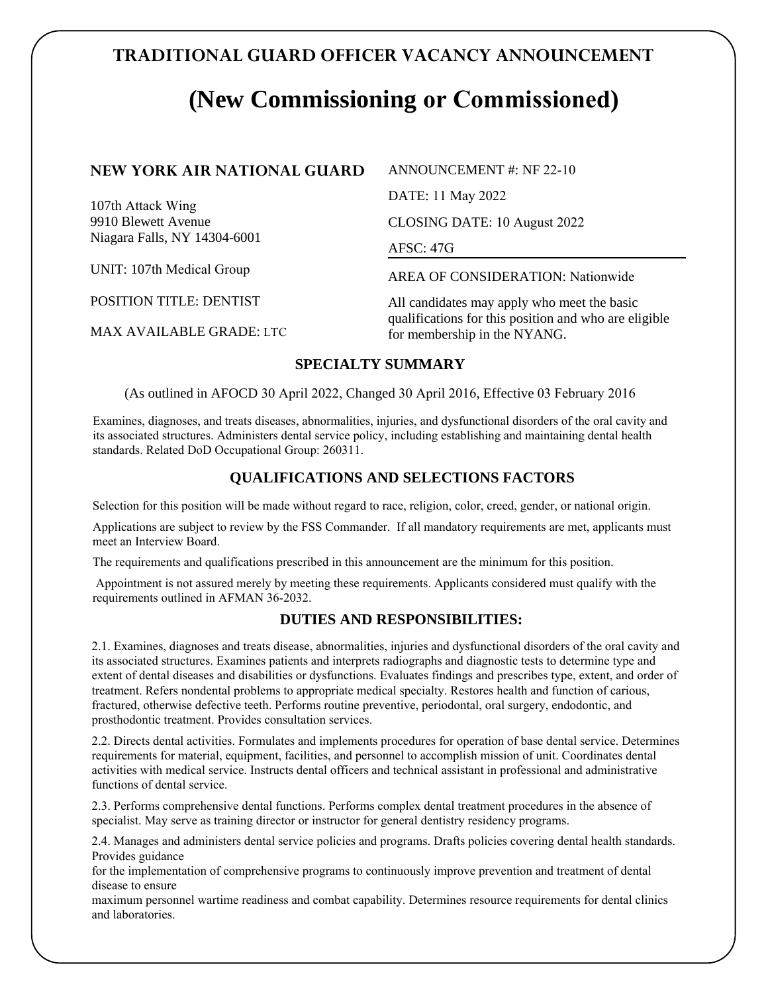# **TRADITIONAL GUARD OFFICER VACANCY ANNOUNCEMENT**

# **(New Commissioning or Commissioned)**

| <b>NEW YORK AIR NATIONAL GUARD</b> | ANNOUNCEMENT #: NF 22-10                                                              |
|------------------------------------|---------------------------------------------------------------------------------------|
| 107th Attack Wing                  | DATE: 11 May 2022                                                                     |
| 9910 Blewett Avenue                | CLOSING DATE: 10 August 2022                                                          |
| Niagara Falls, NY 14304-6001       | AFSC: 47G                                                                             |
| UNIT: 107th Medical Group          | <b>AREA OF CONSIDERATION: Nationwide</b>                                              |
| POSITION TITLE: DENTIST            | All candidates may apply who meet the basic                                           |
| MAX AVAILABLE GRADE: LTC           | qualifications for this position and who are eligible<br>for membership in the NYANG. |

#### **SPECIALTY SUMMARY**

(As outlined in AFOCD 30 April 2022, Changed 30 April 2016, Effective 03 February 2016

Examines, diagnoses, and treats diseases, abnormalities, injuries, and dysfunctional disorders of the oral cavity and its associated structures. Administers dental service policy, including establishing and maintaining dental health standards. Related DoD Occupational Group: 260311.

## **QUALIFICATIONS AND SELECTIONS FACTORS**

Selection for this position will be made without regard to race, religion, color, creed, gender, or national origin.

Applications are subject to review by the FSS Commander. If all mandatory requirements are met, applicants must meet an Interview Board.

The requirements and qualifications prescribed in this announcement are the minimum for this position.

 Appointment is not assured merely by meeting these requirements. Applicants considered must qualify with the requirements outlined in AFMAN 36-2032.

#### **DUTIES AND RESPONSIBILITIES:**

2.1. Examines, diagnoses and treats disease, abnormalities, injuries and dysfunctional disorders of the oral cavity and its associated structures. Examines patients and interprets radiographs and diagnostic tests to determine type and extent of dental diseases and disabilities or dysfunctions. Evaluates findings and prescribes type, extent, and order of treatment. Refers nondental problems to appropriate medical specialty. Restores health and function of carious, fractured, otherwise defective teeth. Performs routine preventive, periodontal, oral surgery, endodontic, and prosthodontic treatment. Provides consultation services.

2.2. Directs dental activities. Formulates and implements procedures for operation of base dental service. Determines requirements for material, equipment, facilities, and personnel to accomplish mission of unit. Coordinates dental activities with medical service. Instructs dental officers and technical assistant in professional and administrative functions of dental service.

2.3. Performs comprehensive dental functions. Performs complex dental treatment procedures in the absence of specialist. May serve as training director or instructor for general dentistry residency programs.

2.4. Manages and administers dental service policies and programs. Drafts policies covering dental health standards. Provides guidance

for the implementation of comprehensive programs to continuously improve prevention and treatment of dental disease to ensure

maximum personnel wartime readiness and combat capability. Determines resource requirements for dental clinics and laboratories.